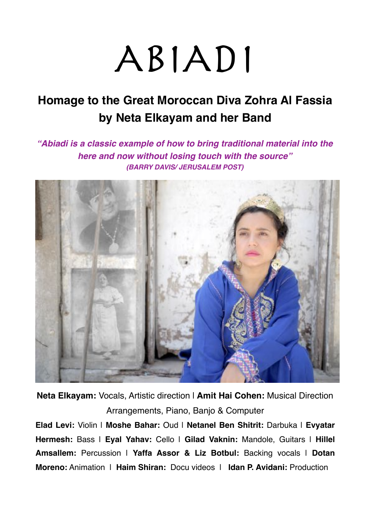# ABIADI

## **Homage to the Great Moroccan Diva Zohra Al Fassia by Neta Elkayam and her Band**

*"Abiadi is a classic example of how to bring traditional material into the here and now without losing touch with the source" (BARRY DAVIS/ JERUSALEM POST)*



**Neta Elkayam:** Vocals, Artistic direction | **Amit Hai Cohen:** Musical Direction Arrangements, Piano, Banjo & Computer

**Elad Levi:** Violin | **Moshe Bahar:** Oud | **Netanel Ben Shitrit:** Darbuka | **Evyatar Hermesh:** Bass | **Eyal Yahav:** Cello | **Gilad Vaknin:** Mandole, Guitars | **Hillel Amsallem:** Percussion | **Yaffa Assor & Liz Botbul:** Backing vocals | **Dotan Moreno:** Animation | **Haim Shiran:** Docu videos | **Idan P. Avidani:** Production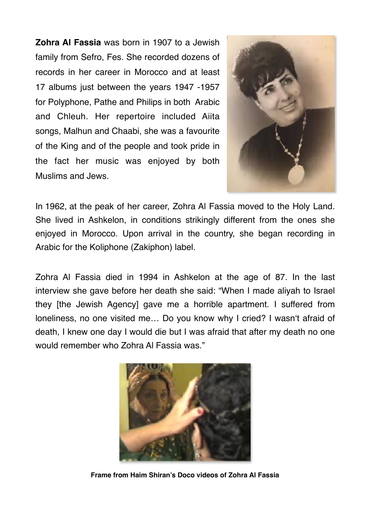**Zohra Al Fassia** was born in 1907 to a Jewish family from Sefro, Fes. She recorded dozens of records in her career in Morocco and at least 17 albums just between the years 1947 -1957 for Polyphone, Pathe and Philips in both Arabic and Chleuh. Her repertoire included Aiita songs, Malhun and Chaabi, she was a favourite of the King and of the people and took pride in the fact her music was enjoyed by both Muslims and Jews.



In 1962, at the peak of her career, Zohra Al Fassia moved to the Holy Land. She lived in Ashkelon, in conditions strikingly different from the ones she enjoyed in Morocco. Upon arrival in the country, she began recording in Arabic for the Koliphone (Zakiphon) label.

Zohra Al Fassia died in 1994 in Ashkelon at the age of 87. In the last interview she gave before her death she said: "When I made aliyah to Israel they [the Jewish Agency] gave me a horrible apartment. I suffered from loneliness, no one visited me… Do you know why I cried? I wasn't afraid of death, I knew one day I would die but I was afraid that after my death no one would remember who Zohra Al Fassia was."



**Frame from Haim Shiran's Doco videos of Zohra Al Fassia**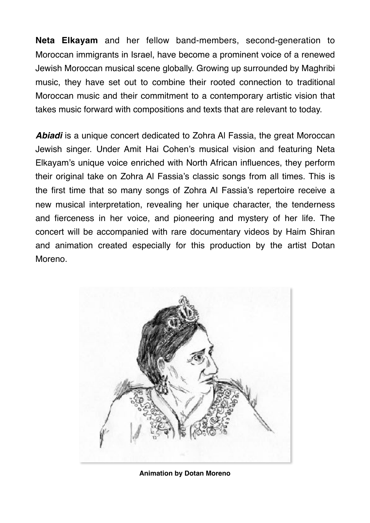**Neta Elkayam** and her fellow band-members, second-generation to Moroccan immigrants in Israel, have become a prominent voice of a renewed Jewish Moroccan musical scene globally. Growing up surrounded by Maghribi music, they have set out to combine their rooted connection to traditional Moroccan music and their commitment to a contemporary artistic vision that takes music forward with compositions and texts that are relevant to today.

*Abiadi* is a unique concert dedicated to Zohra Al Fassia, the great Moroccan Jewish singer. Under Amit Hai Cohen's musical vision and featuring Neta Elkayam's unique voice enriched with North African influences, they perform their original take on Zohra Al Fassia's classic songs from all times. This is the first time that so many songs of Zohra Al Fassia's repertoire receive a new musical interpretation, revealing her unique character, the tenderness and fierceness in her voice, and pioneering and mystery of her life. The concert will be accompanied with rare documentary videos by Haim Shiran and animation created especially for this production by the artist Dotan Moreno.



**Animation by Dotan Moreno**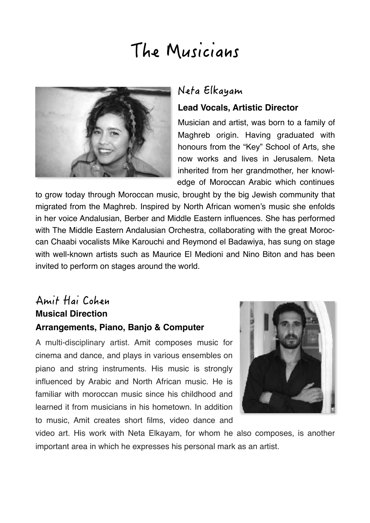# The Musicians



#### Neta Elkayam

#### **Lead Vocals, Artistic Director**

Musician and artist, was born to a family of Maghreb origin. Having graduated with honours from the "Key" School of Arts, she now works and lives in Jerusalem. Neta inherited from her grandmother, her knowledge of Moroccan Arabic which continues

to grow today through Moroccan music, brought by the big Jewish community that migrated from the Maghreb. Inspired by North African women's music she enfolds in her voice Andalusian, Berber and Middle Eastern influences. She has performed with The Middle Eastern Andalusian Orchestra, collaborating with the great Moroccan Chaabi vocalists Mike Karouchi and Reymond el Badawiya, has sung on stage with well-known artists such as Maurice El Medioni and Nino Biton and has been invited to perform on stages around the world.

### Amit Hai Cohen **Musical Direction**

#### **Arrangements, Piano, Banjo & Computer**

A multi-disciplinary artist. Amit composes music for cinema and dance, and plays in various ensembles on piano and string instruments. His music is strongly influenced by Arabic and North African music. He is familiar with moroccan music since his childhood and learned it from musicians in his hometown. In addition to music, Amit creates short films, video dance and



video art. His work with Neta Elkayam, for whom he also composes, is another important area in which he expresses his personal mark as an artist.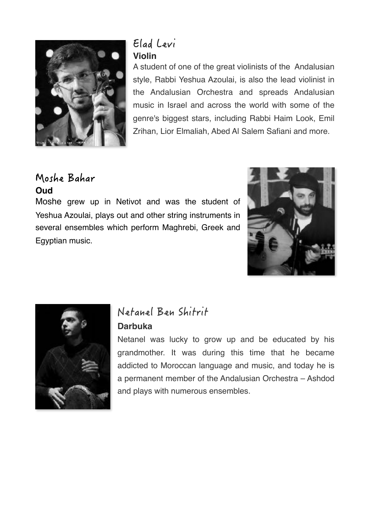

#### Elad Levi **Violin**

A student of one of the great violinists of the Andalusian style, Rabbi Yeshua Azoulai, is also the lead violinist in the Andalusian Orchestra and spreads Andalusian music in Israel and across the world with some of the genre's biggest stars, including Rabbi Haim Look, Emil Zrihan, Lior Elmaliah, Abed Al Salem Safiani and more.

#### Moshe Bahar **Oud**

Moshe grew up in Netivot and was the student of Yeshua Azoulai, plays out and other string instruments in several ensembles which perform Maghrebi, Greek and Egyptian music.





#### Netanel Ben Shitrit **Darbuka**

Netanel was lucky to grow up and be educated by his grandmother. It was during this time that he became addicted to Moroccan language and music, and today he is a permanent member of the Andalusian Orchestra – Ashdod and plays with numerous ensembles.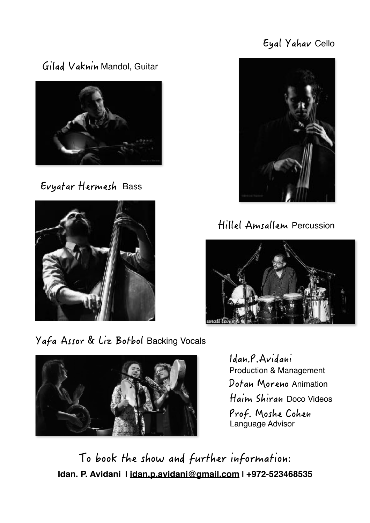#### Eyal Yahav Cello

Gilad Vaknin Mandol, Guitar



Evyatar Hermesh Bass





Killel Amsallem Percussion



Yafa Assor & Liz Botbol Backing Vocals



Idan. P. Avidani Production & Management Dotan Moreno Animation Haim Shiran Doco Videos Prof. Moshe Cohen Language Advisor

To book the show and further information: **Idan. P. Avidani | [idan.p.avidani@gmail.com](mailto:idan.p.avidani@gmail.com) | +972-523468535**